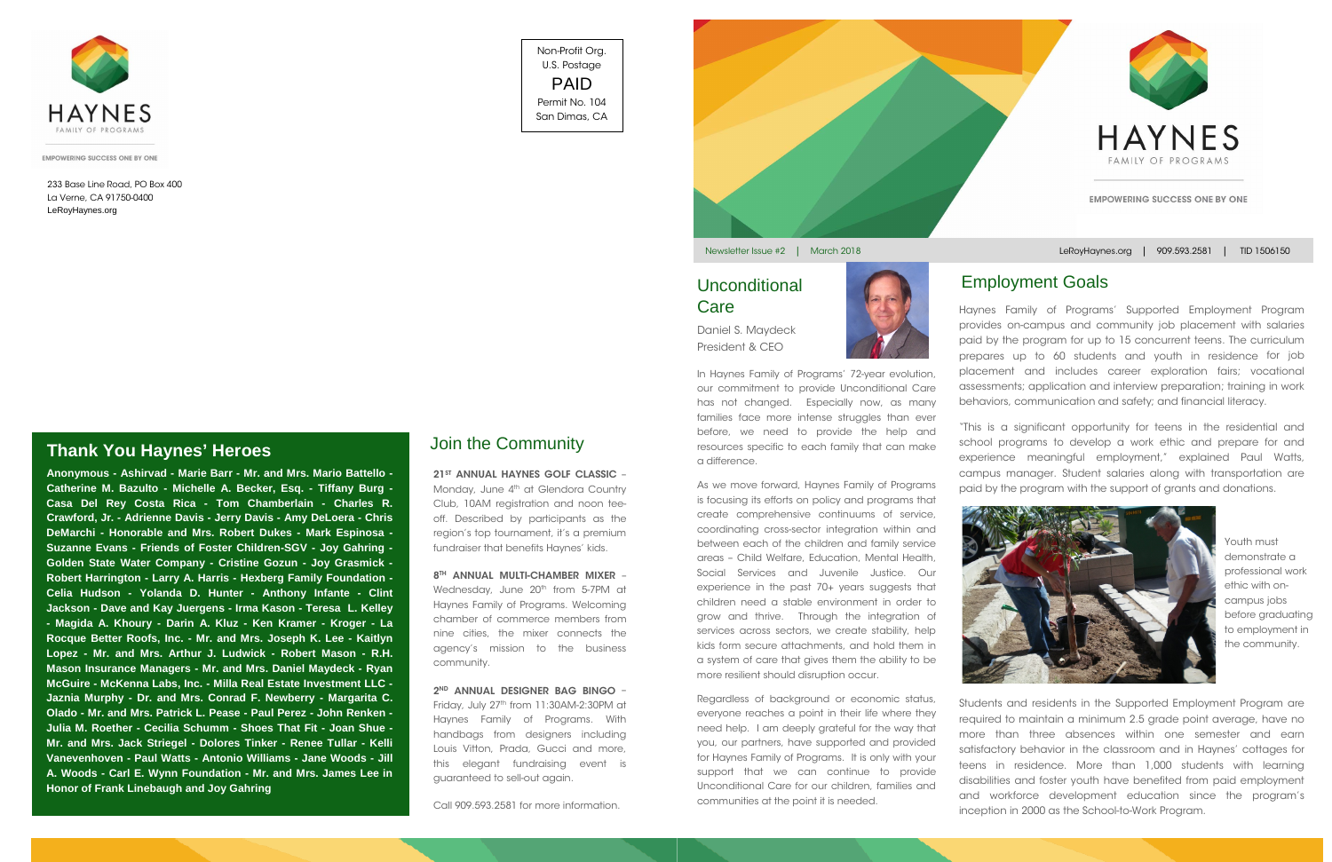

**EMPOWERING SUCCESS ONE BY ONE** 

In Haynes Family of Programs' 72-year evolution, our commitment to provide Unconditional Care has not changed. Especially now, as many families face more intense struggles than ever before, we need to provide the help and resources specific to each family that can make a difference.

As we move forward, Haynes Family of Programs is focusing its efforts on policy and programs that create comprehensive continuums of service, coordinating cross-sector integration within and between each of the children and family service areas – Child Welfare, Education, Mental Health, Social Services and Juvenile Justice. Our experience in the past 70+ years suggests that children need a stable environment in order to grow and thrive. Through the integration of services across sectors, we create stability, help kids form secure attachments, and hold them in a system of care that gives them the ability to be more resilient should disruption occur.

Regardless of background or economic status, everyone reaches a point in their life where they need help. I am deeply grateful for the way that you, our partners, have supported and provided for Haynes Family of Programs. It is only with your support that we can continue to provide Unconditional Care for our children, families and communities at the point it is needed.



21<sup>ST</sup> ANNUAL HAYNES GOLF CLASSIC -Monday, June 4<sup>th</sup> at Glendora Country Club, 10AM registration and noon teeoff. Described by participants as the region's top tournament, it's a premium fundraiser that benefits Haynes' kids.

8TH ANNUAL MULTI-CHAMBER MIXER -Wednesday, June 20<sup>th</sup> from 5-7PM at Haynes Family of Programs. Welcoming chamber of commerce members from nine cities, the mixer connects the agency's mission to the business community.

2<sup>ND</sup> ANNUAL DESIGNER BAG BINGO -

Haynes Family of Programs' Supported Employment Program provides on-campus and community job placement with salaries paid by the program for up to 15 concurrent teens. The curriculum prepares up to 60 students and youth in residence for job placement and includes career exploration fairs; vocational assessments; application and interview preparation; training in work behaviors, communication and safety; and financial literacy.

Friday, July 27<sup>th</sup> from 11:30AM-2:30PM at Haynes Family of Programs. With handbags from designers including Louis Vitton, Prada, Gucci and more, this elegant fundraising event is guaranteed to sell-out again.

"This is a significant opportunity for teens in the residential and school programs to develop a work ethic and prepare for and experience meaningful employment," explained Paul Watts, campus manager. Student salaries along with transportation are paid by the program with the support of grants and donations.

Students and residents in the Supported Employment Program are required to maintain a minimum 2.5 grade point average, have no more than three absences within one semester and earn satisfactory behavior in the classroom and in Haynes' cottages for teens in residence. More than 1,000 students with learning disabilities and foster youth have benefited from paid employment and workforce development education since the program's inception in 2000 as the School-to-Work Program.

# Employment Goals

# **Thank You Haynes' Heroes**

Call 909.593.2581 for more information.



# Join the Community

**Anonymous - Ashirvad - Marie Barr - Mr. and Mrs. Mario Battello - Catherine M. Bazulto - Michelle A. Becker, Esq. - Tiffany Burg - Casa Del Rey Costa Rica - Tom Chamberlain - Charles R. Crawford, Jr. - Adrienne Davis - Jerry Davis - Amy DeLoera - Chris DeMarchi - Honorable and Mrs. Robert Dukes - Mark Espinosa - Suzanne Evans - Friends of Foster Children-SGV - Joy Gahring - Golden State Water Company - Cristine Gozun - Joy Grasmick - Robert Harrington - Larry A. Harris - Hexberg Family Foundation - Celia Hudson - Yolanda D. Hunter - Anthony Infante - Clint Jackson - Dave and Kay Juergens - Irma Kason - Teresa L. Kelley - Magida A. Khoury - Darin A. Kluz - Ken Kramer - Kroger - La Rocque Better Roofs, Inc. - Mr. and Mrs. Joseph K. Lee - Kaitlyn Lopez - Mr. and Mrs. Arthur J. Ludwick - Robert Mason - R.H. Mason Insurance Managers - Mr. and Mrs. Daniel Maydeck - Ryan McGuire - McKenna Labs, Inc. - Milla Real Estate Investment LLC - Jaznia Murphy - Dr. and Mrs. Conrad F. Newberry - Margarita C. Olado - Mr. and Mrs. Patrick L. Pease - Paul Perez - John Renken - Julia M. Roether - Cecilia Schumm - Shoes That Fit - Joan Shue - Mr. and Mrs. Jack Striegel - Dolores Tinker - Renee Tullar - Kelli Vanevenhoven - Paul Watts - Antonio Williams - Jane Woods - Jill A. Woods - Carl E. Wynn Foundation - Mr. and Mrs. James Lee in Honor of Frank Linebaugh and Joy Gahring**



Newsletter Issue #2 | March 2018



Non-Profit Org. U.S. Postage PAID Permit No. 104 San Dimas, CA

LeRoyHaynes.org | 909.593.2581 | TID 1506150

233 Base Line Road, PO Box 400 La Verne, CA 91750-0400 LeRoyHaynes.org

President & CEO

Youth must demonstrate a professional work ethic with oncampus jobs before graduating to employment in the community.